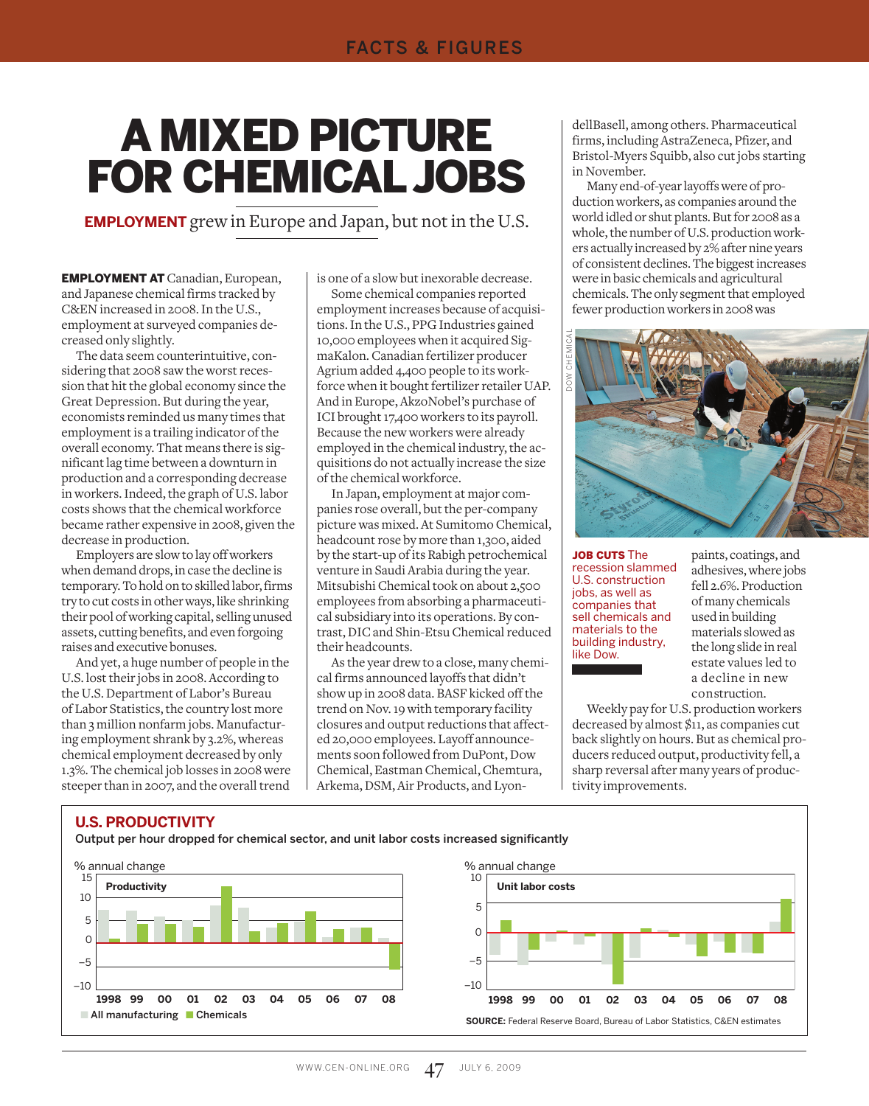# **A MIXED PICTURE** For Chemical Jobs

**Employment** grew in Europe and Japan, but not in the U.S.

Employment at Canadian, European, and Japanese chemical firms tracked by C&EN increased in 2008. In the U.S., employment at surveyed companies decreased only slightly.

The data seem counterintuitive, considering that 2008 saw the worst recession that hit the global economy since the Great Depression. But during the year, economists reminded us many times that employment is a trailing indicator of the overall economy. That means there is significant lag time between a downturn in production and a corresponding decrease in workers. Indeed, the graph of U.S. labor costs shows that the chemical workforce became rather expensive in 2008, given the decrease in production.

Employers are slow to lay off workers when demand drops, in case the decline is temporary. To hold on to skilled labor, firms try to cut costs in other ways, like shrinking their pool of working capital, selling unused assets, cutting benefits, and even forgoing raises and executive bonuses.

And yet, a huge number of people in the U.S. lost their jobs in 2008. According to the U.S. Department of Labor's Bureau of Labor Statistics, the country lost more than 3 million nonfarm jobs. Manufacturing employment shrank by 3.2%, whereas chemical employment decreased by only 1.3%. The chemical job losses in 2008 were steeper than in 2007, and the overall trend

is one of a slow but inexorable decrease.

Some chemical companies reported employment increases because of acquisitions. In the U.S., PPG Industries gained 10,000 employees when it acquired SigmaKalon. Canadian fertilizer producer Agrium added 4,400 people to its workforce when it bought fertilizer retailer UAP. And in Europe, AkzoNobel's purchase of ICI brought 17,400 workers to its payroll. Because the new workers were already employed in the chemical industry, the acquisitions do not actually increase the size of the chemical workforce.

In Japan, employment at major companies rose overall, but the per-company picture was mixed. At Sumitomo Chemical, headcount rose by more than 1,300, aided by the start-up of its Rabigh petrochemical venture in Saudi Arabia during the year. Mitsubishi Chemical took on about 2,500 employees from absorbing a pharmaceutical subsidiary into its operations. By contrast, DIC and Shin-Etsu Chemical reduced their headcounts.

As the year drew to a close, many chemical firms announced layoffs that didn't show up in 2008 data. BASF kicked off the trend on Nov. 19 with temporary facility closures and output reductions that affected 20,000 employees. Layoff announcements soon followed from DuPont, Dow Chemical, Eastman Chemical, Chemtura, Arkema, DSM, Air Products, and LyondellBasell, among others. Pharmaceutical firms, including AstraZeneca, Pfizer, and Bristol-Myers Squibb, also cut jobs starting in November.

Many end-of-year layoffs were of production workers, as companies around the world idled or shut plants. But for 2008 as a whole, the number of U.S. production workers actually increased by 2% after nine years of consistent declines. The biggest increases were in basic chemicals and agricultural chemicals. The only segment that employed fewer production workers in 2008 was



JOB CUTS The recession slammed U.S. construction jobs, as well as companies that sell chemicals and materials to the building industry, like Dow.

paints, coatings, and adhesives, where jobs fell 2.6%. Production of many chemicals used in building materials slowed as the long slide in real estate values led to a decline in new construction.

Weekly pay for U.S. production workers decreased by almost \$11, as companies cut back slightly on hours. But as chemical producers reduced output, productivity fell, a sharp reversal after many years of productivity improvements.

#### **U.S. Productivity**

Output per hour dropped for chemical sector, and unit labor costs increased significantly



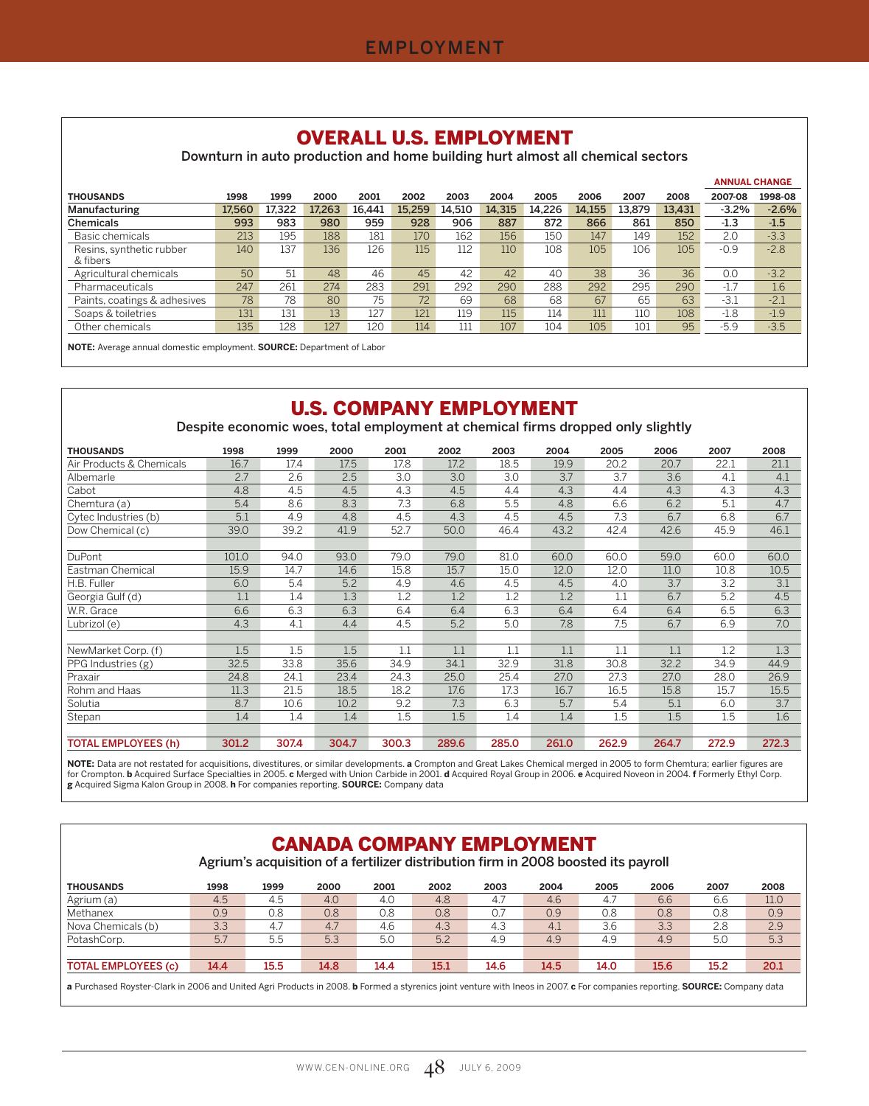## OVERALL U.S. EMPLOYMENT

Downturn in auto production and home building hurt almost all chemical sectors

|                                      |        |        |        |        |        |        |        |        |        |        |        | <b>ANNUAL CHANGE</b> |         |
|--------------------------------------|--------|--------|--------|--------|--------|--------|--------|--------|--------|--------|--------|----------------------|---------|
| <b>THOUSANDS</b>                     | 1998   | 1999   | 2000   | 2001   | 2002   | 2003   | 2004   | 2005   | 2006   | 2007   | 2008   | 2007-08              | 1998-08 |
| Manufacturing                        | 17.560 | 17.322 | 17.263 | 16.441 | 15.259 | 14.510 | 14.315 | 14.226 | 14.155 | 13.879 | 13.431 | $-3.2%$              | $-2.6%$ |
| <b>Chemicals</b>                     | 993    | 983    | 980    | 959    | 928    | 906    | 887    | 872    | 866    | 861    | 850    | $-1.3$               | $-1.5$  |
| Basic chemicals                      | 213    | 195    | 188    | 181    | 170    | 162    | 156    | 150    | 147    | 149    | 152    | 2.0                  | $-3.3$  |
| Resins, synthetic rubber<br>& fibers | 140    | 137    | 136    | 126    | 115    | 112    | 110    | 108    | 105    | 106    | 105    | $-0.9$               | $-2.8$  |
| Agricultural chemicals               | 50     | 51     | 48     | 46     | 45     | 42     | 42     | 40     | 38     | 36     | 36     | 0.0                  | $-3.2$  |
| Pharmaceuticals                      | 247    | 261    | 274    | 283    | 291    | 292    | 290    | 288    | 292    | 295    | 290    | $-1.7$               | 1.6     |
| Paints, coatings & adhesives         | 78     | 78     | 80     | 75     | 72     | 69     | 68     | 68     | 67     | 65     | 63     | $-3.1$               | $-2.1$  |
| Soaps & toiletries                   | 131    | 131    | 13     | 127    | 121    | 119    | 115    | 114    | 111    | 110    | 108    | $-1.8$               | $-1.9$  |
| Other chemicals                      | 135    | 128    | 127    | 120    | 114    | 111    | 107    | 104    | 105    | 101    | 95     | $-5.9$               | $-3.5$  |

**NOTE:** Average annual domestic employment. **SOURCE:** Department of Labor

# U.S. COMPANY EMPLOYMENT

Despite economic woes, total employment at chemical firms dropped only slightly

| <b>THOUSANDS</b>           | 1998  | 1999  | 2000  | 2001  | 2002  | 2003  | 2004  | 2005  | 2006  | 2007  | 2008  |
|----------------------------|-------|-------|-------|-------|-------|-------|-------|-------|-------|-------|-------|
| Air Products & Chemicals   | 16.7  | 17.4  | 17.5  | 17.8  | 17.2  | 18.5  | 19.9  | 20.2  | 20.7  | 22.1  | 21.1  |
| Albemarle                  | 2.7   | 2.6   | 2.5   | 3.0   | 3.0   | 3.0   | 3.7   | 3.7   | 3.6   | 4.1   | 4.1   |
| Cabot                      | 4.8   | 4.5   | 4.5   | 4.3   | 4.5   | 4.4   | 4.3   | 4.4   | 4.3   | 4.3   | 4.3   |
| Chemtura (a)               | 5.4   | 8.6   | 8.3   | 7.3   | 6.8   | 5.5   | 4.8   | 6.6   | 6.2   | 5.1   | 4.7   |
| Cytec Industries (b)       | 5.1   | 4.9   | 4.8   | 4.5   | 4.3   | 4.5   | 4.5   | 7.3   | 6.7   | 6.8   | 6.7   |
| Dow Chemical (c)           | 39.0  | 39.2  | 41.9  | 52.7  | 50.0  | 46.4  | 43.2  | 42.4  | 42.6  | 45.9  | 46.1  |
|                            |       |       |       |       |       |       |       |       |       |       |       |
| DuPont                     | 101.0 | 94.0  | 93.0  | 79.0  | 79.0  | 81.0  | 60.0  | 60.0  | 59.0  | 60.0  | 60.0  |
| Eastman Chemical           | 15.9  | 14.7  | 14.6  | 15.8  | 15.7  | 15.0  | 12.0  | 12.0  | 11.0  | 10.8  | 10.5  |
| H.B. Fuller                | 6.0   | 5.4   | 5.2   | 4.9   | 4.6   | 4.5   | 4.5   | 4.0   | 3.7   | 3.2   | 3.1   |
| Georgia Gulf (d)           | 1.1   | 1.4   | 1.3   | 1.2   | 1.2   | 1.2   | 1.2   | 1.1   | 6.7   | 5.2   | 4.5   |
| W.R. Grace                 | 6.6   | 6.3   | 6.3   | 6.4   | 6.4   | 6.3   | 6.4   | 6.4   | 6.4   | 6.5   | 6.3   |
| Lubrizol (e)               | 4.3   | 4.1   | 4.4   | 4.5   | 5.2   | 5.0   | 7.8   | 7.5   | 6.7   | 6.9   | 7.0   |
|                            |       |       |       |       |       |       |       |       |       |       |       |
| NewMarket Corp. (f)        | 1.5   | 1.5   | 1.5   | 1.1   | 1.1   | 1.1   | 1.1   | 1.1   | 1.1   | 1.2   | 1.3   |
| PPG Industries (g)         | 32.5  | 33.8  | 35.6  | 34.9  | 34.1  | 32.9  | 31.8  | 30.8  | 32.2  | 34.9  | 44.9  |
| Praxair                    | 24.8  | 24.1  | 23.4  | 24.3  | 25.0  | 25.4  | 27.0  | 27.3  | 27.0  | 28.0  | 26.9  |
| Rohm and Haas              | 11.3  | 21.5  | 18.5  | 18.2  | 17.6  | 17.3  | 16.7  | 16.5  | 15.8  | 15.7  | 15.5  |
| Solutia                    | 8.7   | 10.6  | 10.2  | 9.2   | 7.3   | 6.3   | 5.7   | 5.4   | 5.1   | 6.0   | 3.7   |
| Stepan                     | 1.4   | 1.4   | 1.4   | 1.5   | 1.5   | 1.4   | 1.4   | 1.5   | 1.5   | 1.5   | 1.6   |
|                            |       |       |       |       |       |       |       |       |       |       |       |
| <b>TOTAL EMPLOYEES (h)</b> | 301.2 | 307.4 | 304.7 | 300.3 | 289.6 | 285.0 | 261.0 | 262.9 | 264.7 | 272.9 | 272.3 |

**NOTE:** Data are not restated for acquisitions, divestitures, or similar developments. **a** Crompton and Great Lakes Chemical merged in 2005 to form Chemtura; earlier figures are for Crompton. **b** Acquired Surface Specialties in 2005. **c** Merged with Union Carbide in 2001. **d** Acquired Royal Group in 2006. **e** Acquired Noveon in 2004. **f** Formerly Ethyl Corp. **g** Acquired Sigma Kalon Group in 2008. **h** For companies reporting. **SOURCE:** Company data

## CANADA COMPANY EMPLOYMENT

Agrium's acquisition of a fertilizer distribution firm in 2008 boosted its payroll

| <b>THOUSANDS</b>           | 1998 | 1999 | 2000 | 2001 | 2002 | 2003 | 2004 | 2005 | 2006 | 2007 | 2008 |
|----------------------------|------|------|------|------|------|------|------|------|------|------|------|
| Agrium (a)                 | 4.5  | 4.5  | 4.0  | 4.0  | 4.8  | 4.7  | 4.6  | 4.7  | 6.6  | 6.6  | 11.0 |
| Methanex                   | 0.9  | 0.8  | 0.8  | 0.8  | 0.8  |      | 0.9  | 0.8  | 0.8  | 0.8  | 0.9  |
| Nova Chemicals (b)         | 3.3  | 4.7  | 4.7  | 4.6  | 4.3  | 4.3  | 4.1  | 3.6  | 3.3  | 2.8  | 2.9  |
| PotashCorp.                | 5.7  | 5.5  | 5.3  | 5.0  | 5.2  | 4.9  | 4.9  | 4.9  | 4.9  | 5.0  | 5.3  |
|                            |      |      |      |      |      |      |      |      |      |      |      |
| <b>TOTAL EMPLOYEES (c)</b> | 14.4 | 15.5 | 14.8 | 14.4 | 15.1 | 14.6 | 14.5 | 14.0 | 15.6 | 15.2 | 20.1 |

**a** Purchased Royster-Clark in 2006 and United Agri Products in 2008. **b** Formed a styrenics joint venture with Ineos in 2007. **c** For companies reporting. **SOURCE:** Company data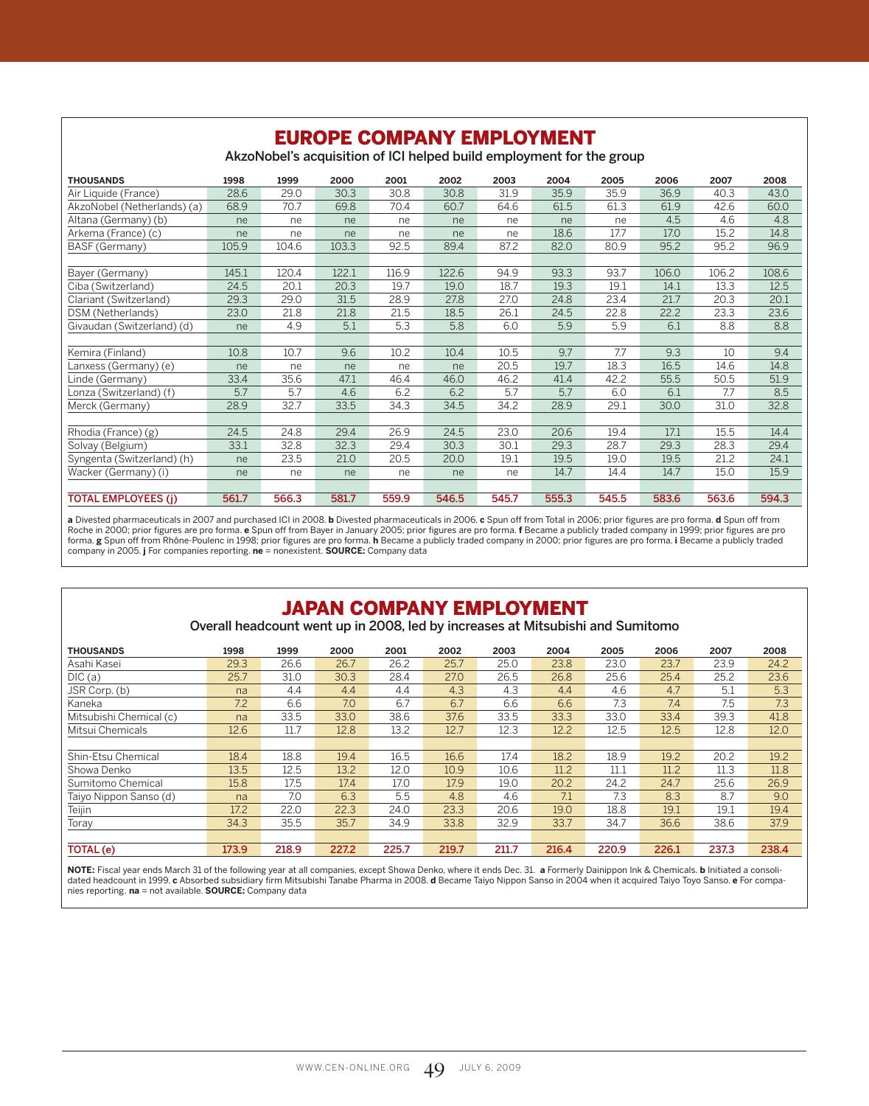| <b>EUROPE COMPANY EMPLOYMENT</b><br>AkzoNobel's acquisition of ICI helped build employment for the group |       |       |       |       |       |       |       |       |       |       |       |  |
|----------------------------------------------------------------------------------------------------------|-------|-------|-------|-------|-------|-------|-------|-------|-------|-------|-------|--|
| <b>THOUSANDS</b>                                                                                         | 1998  | 1999  | 2000  | 2001  | 2002  | 2003  | 2004  | 2005  | 2006  | 2007  | 2008  |  |
| Air Liquide (France)                                                                                     | 28.6  | 29.0  | 30.3  | 30.8  | 30.8  | 31.9  | 35.9  | 35.9  | 36.9  | 40.3  | 43.0  |  |
| AkzoNobel (Netherlands) (a)                                                                              | 68.9  | 70.7  | 69.8  | 70.4  | 60.7  | 64.6  | 61.5  | 61.3  | 61.9  | 42.6  | 60.0  |  |
| Altana (Germany) (b)                                                                                     | ne    | ne    | ne    | ne    | ne    | ne    | ne    | ne    | 4.5   | 4.6   | 4.8   |  |
| Arkema (France) (c)                                                                                      | ne    | ne    | ne    | ne    | ne    | ne    | 18.6  | 17.7  | 17.0  | 15.2  | 14.8  |  |
| BASF (Germany)                                                                                           | 105.9 | 104.6 | 103.3 | 92.5  | 89.4  | 87.2  | 82.0  | 80.9  | 95.2  | 95.2  | 96.9  |  |
|                                                                                                          |       |       |       |       |       |       |       |       |       |       |       |  |
| Bayer (Germany)                                                                                          | 145.1 | 120.4 | 122.1 | 116.9 | 122.6 | 94.9  | 93.3  | 93.7  | 106.0 | 106.2 | 108.6 |  |
| Ciba (Switzerland)                                                                                       | 24.5  | 20.1  | 20.3  | 19.7  | 19.0  | 18.7  | 19.3  | 19.1  | 14.1  | 13.3  | 12.5  |  |
| Clariant (Switzerland)                                                                                   | 29.3  | 29.0  | 31.5  | 28.9  | 27.8  | 27.0  | 24.8  | 23.4  | 21.7  | 20.3  | 20.1  |  |
| DSM (Netherlands)                                                                                        | 23.0  | 21.8  | 21.8  | 21.5  | 18.5  | 26.1  | 24.5  | 22.8  | 22.2  | 23.3  | 23.6  |  |
| Givaudan (Switzerland) (d)                                                                               | ne    | 4.9   | 5.1   | 5.3   | 5.8   | 6.0   | 5.9   | 5.9   | 6.1   | 8.8   | 8.8   |  |
|                                                                                                          |       |       |       |       |       |       |       |       |       |       |       |  |
| Kemira (Finland)                                                                                         | 10.8  | 10.7  | 9.6   | 10.2  | 10.4  | 10.5  | 9.7   | 7.7   | 9.3   | 10    | 9.4   |  |
| Lanxess (Germany) (e)                                                                                    | ne    | ne    | ne    | ne    | ne    | 20.5  | 19.7  | 18.3  | 16.5  | 14.6  | 14.8  |  |
| Linde (Germany)                                                                                          | 33.4  | 35.6  | 47.1  | 46.4  | 46.0  | 46.2  | 41.4  | 42.2  | 55.5  | 50.5  | 51.9  |  |
| Lonza (Switzerland) (f)                                                                                  | 5.7   | 5.7   | 4.6   | 6.2   | 6.2   | 5.7   | 5.7   | 6.0   | 6.1   | 7.7   | 8.5   |  |
| Merck (Germany)                                                                                          | 28.9  | 32.7  | 33.5  | 34.3  | 34.5  | 34.2  | 28.9  | 29.1  | 30.0  | 31.0  | 32.8  |  |
|                                                                                                          |       |       |       |       |       |       |       |       |       |       |       |  |
| Rhodia (France) (g)                                                                                      | 24.5  | 24.8  | 29.4  | 26.9  | 24.5  | 23.0  | 20.6  | 19.4  | 17.1  | 15.5  | 14.4  |  |
| Solvay (Belgium)                                                                                         | 33.1  | 32.8  | 32.3  | 29.4  | 30.3  | 30.1  | 29.3  | 28.7  | 29.3  | 28.3  | 29.4  |  |
| Syngenta (Switzerland) (h)                                                                               | ne    | 23.5  | 21.0  | 20.5  | 20.0  | 19.1  | 19.5  | 19.0  | 19.5  | 21.2  | 24.1  |  |
| Wacker (Germany) (i)                                                                                     | ne    | ne    | ne    | ne    | ne    | ne    | 14.7  | 14.4  | 14.7  | 15.0  | 15.9  |  |
|                                                                                                          |       |       |       |       |       |       |       |       |       |       |       |  |
| <b>TOTAL EMPLOYEES (j)</b>                                                                               | 561.7 | 566.3 | 581.7 | 559.9 | 546.5 | 545.7 | 555.3 | 545.5 | 583.6 | 563.6 | 594.3 |  |

a Divested pharmaceuticals in 2007 and purchased ICI in 2008. **b** Divested pharmaceuticals in 2006. **c** Spun off from Total in 2006; prior figures are pro forma. **d** Spun off from<br>Roche in 2000; prior figures are pro forma

## JAPAN COMPANY EMPLOYMENT

Overall headcount went up in 2008, led by increases at Mitsubishi and Sumitomo

| <b>THOUSANDS</b>        | 1998  | 1999  | 2000  | 2001  | 2002  | 2003  | 2004  | 2005  | 2006  | 2007  | 2008  |
|-------------------------|-------|-------|-------|-------|-------|-------|-------|-------|-------|-------|-------|
| Asahi Kasei             | 29.3  | 26.6  | 26.7  | 26.2  | 25.7  | 25.0  | 23.8  | 23.0  | 23.7  | 23.9  | 24.2  |
| DIC(a)                  | 25.7  | 31.0  | 30.3  | 28.4  | 27.0  | 26.5  | 26.8  | 25.6  | 25.4  | 25.2  | 23.6  |
| JSR Corp. (b)           | na    | 4.4   | 4.4   | 4.4   | 4.3   | 4.3   | 4.4   | 4.6   | 4.7   | 5.1   | 5.3   |
| Kaneka                  | 7.2   | 6.6   | 7.0   | 6.7   | 6.7   | 6.6   | 6.6   | 7.3   | 7.4   | 7.5   | 7.3   |
| Mitsubishi Chemical (c) | na    | 33.5  | 33.0  | 38.6  | 37.6  | 33.5  | 33.3  | 33.0  | 33.4  | 39.3  | 41.8  |
| Mitsui Chemicals        | 12.6  | 11.7  | 12.8  | 13.2  | 12.7  | 12.3  | 12.2  | 12.5  | 12.5  | 12.8  | 12.0  |
|                         |       |       |       |       |       |       |       |       |       |       |       |
| Shin-Etsu Chemical      | 18.4  | 18.8  | 19.4  | 16.5  | 16.6  | 17.4  | 18.2  | 18.9  | 19.2  | 20.2  | 19.2  |
| Showa Denko             | 13.5  | 12.5  | 13.2  | 12.0  | 10.9  | 10.6  | 11.2  | 11.1  | 11.2  | 11.3  | 11.8  |
| Sumitomo Chemical       | 15.8  | 17.5  | 17.4  | 17.0  | 17.9  | 19.0  | 20.2  | 24.2  | 24.7  | 25.6  | 26.9  |
| Taiyo Nippon Sanso (d)  | na    | 7.0   | 6.3   | 5.5   | 4.8   | 4.6   | 7.1   | 7.3   | 8.3   | 8.7   | 9.0   |
| Teijin                  | 17.2  | 22.0  | 22.3  | 24.0  | 23.3  | 20.6  | 19.0  | 18.8  | 19.1  | 19.1  | 19.4  |
| Toray                   | 34.3  | 35.5  | 35.7  | 34.9  | 33.8  | 32.9  | 33.7  | 34.7  | 36.6  | 38.6  | 37.9  |
|                         |       |       |       |       |       |       |       |       |       |       |       |
| TOTAL (e)               | 173.9 | 218.9 | 227.2 | 225.7 | 219.7 | 211.7 | 216.4 | 220.9 | 226.1 | 237.3 | 238.4 |

**NOTE:** Fiscal year ends March 31 of the following year at all companies, except Showa Denko, where it ends Dec. 31. **a** Formerly Dainippon Ink & Chemicals. **b** Initiated a consolidated headcount in 1999. **c** Absorbed subsidiary firm Mitsubishi Tanabe Pharma in 2008. **d** Became Taiyo Nippon Sanso in 2004 when it acquired Taiyo Toyo Sanso. **e** For companies reporting. **na** = not available. **SOURCE:** Company data